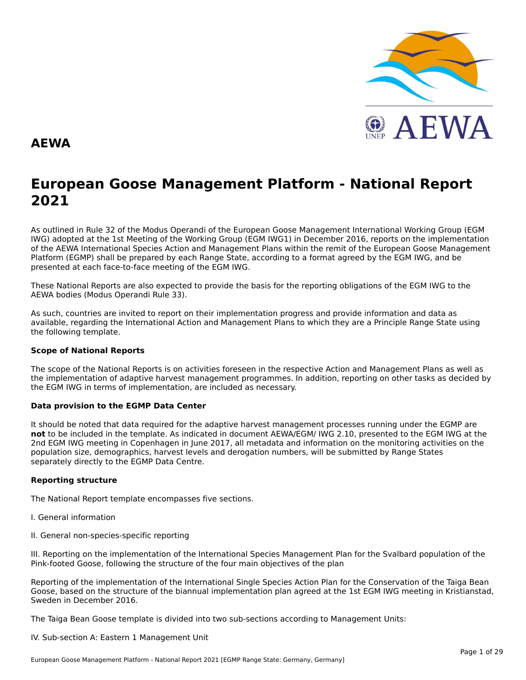

### **AEWA**

# **European Goose Management Platform - National Report**European Goose Management Platform - National Report<br>2021

As outlined in Rule 32 of the Modus Operandi of the European Goose Management International Working Group (EGM As buthled in Rule 32 of the Modus Operandi of the Lufopean Goose Management International Working Group (LGM<br>IWG) adopted at the 1st Meeting of the Working Group (EGM IWG1) in December 2016, reports on the implementation of the AEWA International Species Action and Management Plans within the remit of the European Goose Management<br>of the AEWA International Species Action and Management Plans within the remit of the European Goose Managemen Platform (EGMP) shall be prepared by each Range State, according to a format agreed by the EGM IWG, and be presented at each face-to-face meeting of the EGM IWG.

These National Reports are also expected to provide the basis for the reporting obligations of the EGM IWG to the AEWA bodies (Modus Operandi Rule 33).

As such, countries are invited to report on their implementation progress and provide information and data asAs such, countries are invited to report on their implementation progress and provide imomiation and data as<br>available, regarding the International Action and Management Plans to which they are a Principle Range State usin the following template.

#### **Scope of National Reports**

The scope of the National Reports is on activities foreseen in the respective Action and Management Plans as well as<br>the invalence total of adoptive harvest management are respective and dition are atting on other today as the implementation of adaptive harvest management programmes. In addition, reporting on other tasks as decided by the EGM IWG in terms of implementation, are included as necessary.

#### **Data provision to the EGMP Data Center**

It should be noted that data required for the adaptive harvest management processes running under the EGMP are not to be included in the template. As indicated in document AEWA/EGM/ IWG 2.10, presented to the EGM IWG at the 2nd EGM IWG meeting in Copenhagen in June 2017, all metadata and information on the monitoring activities on the population size, demographics, harvest levels and derogation numbers, will be submitted by Range States separately directly to the EGMP Data Centre.

### **Reporting structure**

The National Report template encompasses five sections.

- I. General information
- II. General non-species-specific reporting

III. Reporting on the implementation of the International Species Management Plan for the Svalbard population of the Pink-footed Goose, following the structure of the four main objectives of the plan

Reporting of the implementation of the International Single Species Action Plan for the Conservation of the Taiga Bean Goose, based on the structure of the biannual implementation plan agreed at the 1st EGM IWG meeting in Kristianstad, Sweden in December 2016.

The Taiga Bean Goose template is divided into two sub-sections according to Management Units:

#### IV. Sub-section A: Eastern 1 Management Unit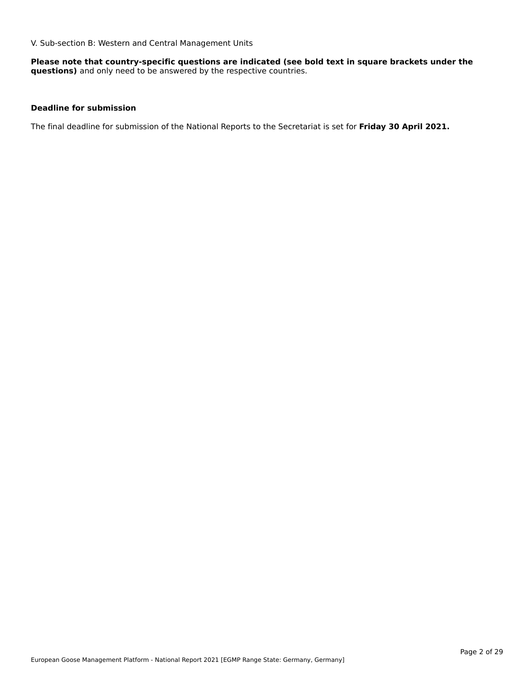V. Sub-section B: Western and Central Management Units

**Please note that country-specific questions are indicated (see bold text in square brackets under the questions)** and only need to be answered by the respective countries.

### **Deadline for submission**

The final deadline for submission of the National Reports to the Secretariat is set for **Friday 30 April 2021.**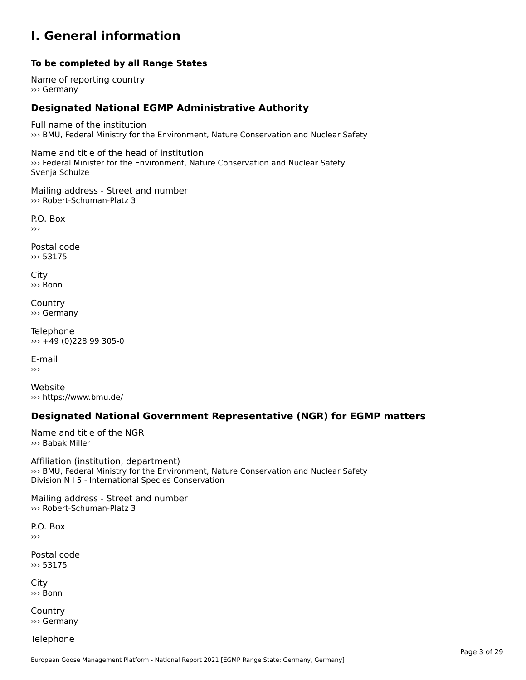### **I. General information**

#### **To be completed by all Range States**

Name of reporting country››› Germany

#### **Designated National EGMP Administrative Authority**

Full name of the institution ››› BMU, Federal Ministry for the Environment, Nature Conservation and Nuclear Safety

Name and title of the head of institution warne and the or the nead of institution<br>>>> Federal Minister for the Environment, Nature Conservation and Nuclear Safety

Mailing address - Street and number ››› Robert-Schuman-Platz 3

P.O. Box›››

Postal code››› 53175

City ››› Bonn

**Country** ››› Germany

Telephone ››› +49 (0)228 99 305-0

E-mail›››

Website ››› https://www.bmu.de/

#### **Designated National Government Representative (NGR) for EGMP matters**

Name and title of the NGR››› Babak Miller

Affiliation (institution, department) ››› BMU, Federal Ministry for the Environment, Nature Conservation and Nuclear Safety **Solid, rederal ministry for the Environment, Nat**<br>Division N I 5 - International Species Conservation

Mailing address - Street and number ››› Robert-Schuman-Platz 3

P.O. Box›››

Postal code››› 53175

City ››› Bonn

**Country** ››› Germany

Telephone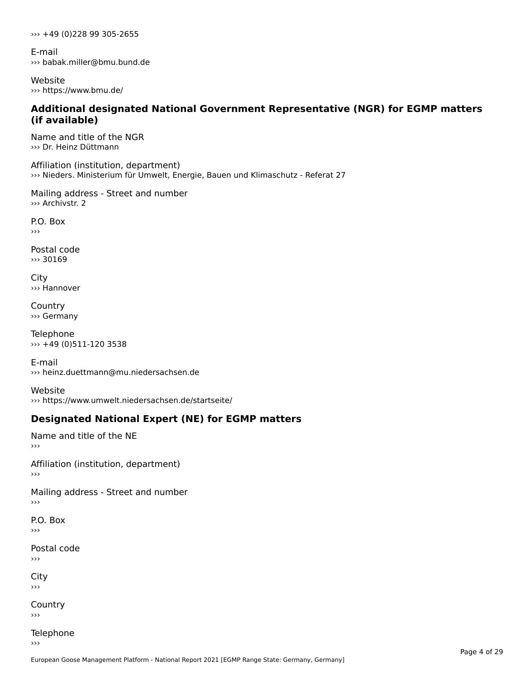››› +49 (0)228 99 305-2655

E-mail ››› babak.miller@bmu.bund.de

Website ››› https://www.bmu.de/

### **Additional designated National Government Representative (NGR) for EGMP matters (if available)**

Name and title of the NGR ››› Dr. Heinz Düttmann

Affiliation (institution, department)››› Nieders. Ministerium für Umwelt, Energie, Bauen und Klimaschutz - Referat 27

Mailing address - Street and number ››› Archivstr. 2

P.O. Box

Postal code ››› 30169

City ››› Hannover

**Country** ››› Germany

Telephone ››› +49 (0)511-120 3538

E-mail››› heinz.duettmann@mu.niedersachsen.de

Website››› https://www.umwelt.niedersachsen.de/startseite/

# **Designated National Expert (NE) for EGMP matters**

Name and title of the NE ›››

Affiliation (institution, department)›››

```
Mailing address - Street and number
```
P.O. Box

```
Postal code
```
City  $\rightarrow$ 

**Country** 

```
Telephone
```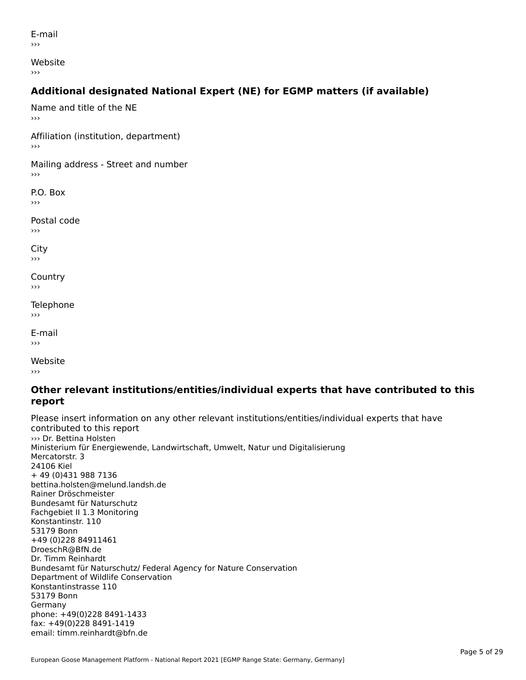E-mail›››

Website

›››

# **Additional designated National Expert (NE) for EGMP matters (if available)**

Name and title of the NE›››Affiliation (institution, department) Mailing address - Street and number P.O. Box Postal code››› $\mathbf{C}^{\text{in}}$  $\mathbf{v}$ Country›››Telephone ›››E-mail›››

Website

### **Other relevant institutions/entities/individual experts that have contributed to this report**report

Please insert information on any other relevant institutions/entities/individual experts that have contributed to this report<br>>>> Dr. Bettina Holsten Ministerium für Energiewende, Landwirtschaft, Umwelt, Natur und DigitalisierungMillisterium it<br>Mercatorstr. 3 Mercatorstr. 3 mercatorst<br>24106 Kiel + 49 (0)431 988 7136 bettina.holsten@melund.landsh.de Rainer DröschmeisterRamer Droschmeister<br>Bundesamt für Naturschutz Fachgebiet II 1.3 MonitoringKonstantinstr. 11053179 Bonn+49 (0)228 84911461 DroeschR@BfN.de Dr. Timm ReinhardtBundesamt für Naturschutz/ Federal Agency for Nature Conservation Bundesannt für Naturschutz/Tederar<br>Department of Wildlife Conservation Konstantinstrasse 110 53179 Bonn GermanyGermany phone: +49(0)228 8491-1433 fax: +49(0)228 8491-1419 iax. +49(0)220 0491-1419<br>email: timm.reinhardt@bfn.de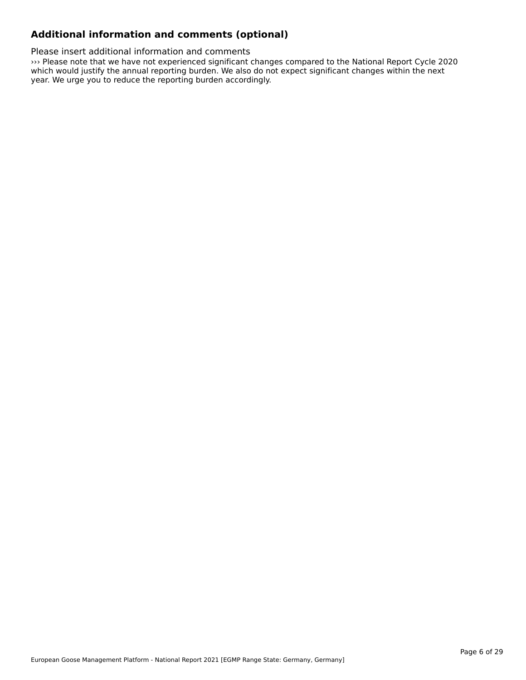### **Additional information and comments (optional)**

Please insert additional information and comments

››› Please note that we have not experienced significant changes compared to the National Report Cycle 2020 which would justify the annual reporting burden. We also do not expect significant changes within the next which would justify the annual reporting burden. We also do not expect significant changes within the next which would justify the annual reporting burdent we also do in<br>year. We urge you to reduce the reporting burden accordingly.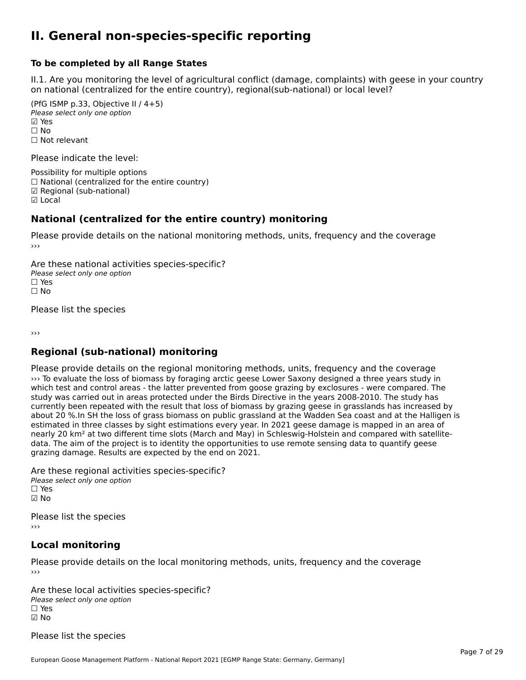### **II. General non-species-specific reporting**

#### **To be completed by all Range States**

II.1. Are you monitoring the level of agricultural conflict (damage, complaints) with geese in your country n.i. Are you monitoring the lever or agricultural connict (damage, complaints) with g<br>on national (centralized for the entire country), regional(sub-national) or local level?

(PfG ISMP p.33, Objective II  $(4+5)$ ) Please select only one option ☑ Yes**☑ Yes**<br>□ No □ No<br>□ Not relevant

Please indicate the level:

Possibility for multiple options  $\Box$  National (centralized for the entire country) ☑ Regional (sub-national) ☑ Local

#### **National (centralized for the entire country) monitoring**

Please provide details on the national monitoring methods, units, frequency and the coverage

Are these national activities species-specific? Please select only one option *riease*<br>□ Yes<br>□ No  $\Box$  No

Please list the species

›››

#### **Regional (sub-national) monitoring**

Please provide details on the regional monitoring methods, units, frequency and the coverage ››› To evaluate the loss of biomass by foraging arctic geese Lower Saxony designed a three years study in which test and control areas - the latter prevented from goose grazing by exclosures - were compared. The which test and control areas - the latter prevented from goose grazing by exclosures - were compared. The which test and control areas - the latter prevented from goose grazing by exclosures - were compared. The study<br>study was carried out in areas protected under the Birds Directive in the years 2008-2010. The study has study was carried out in areas protected under the Birds Directive in the years 2006-2010. The study has<br>currently been repeated with the result that loss of biomass by grazing geese in grasslands has increased by about 20 %.In SH the loss of grass biomass on public grassland at the Wadden Sea coast and at the Halligen is estimated in three classes by sight estimations every year. In 2021 geese damage is mapped in an area of nearly 20 km² at two different time slots (March and May) in Schleswig-Holstein and compared with satellitedeath zo kin at two unterent thre slots (march and may) in Schleswig-Holstein and compared with sater data. The aim of the project is to identity the opportunities to use remote sensing data to quantify geese grazing damage. Results are expected by the end on 2021.

Are these regional activities species-specific? ∩ne enese regional activ<br>Please select only one option ☑ No

Please list the species ›››

#### **Local monitoring**

Please provide details on the local monitoring methods, units, frequency and the coverage

Are these local activities species-specific? *Please select only one option* ☐ Yes☑ No

Please list the species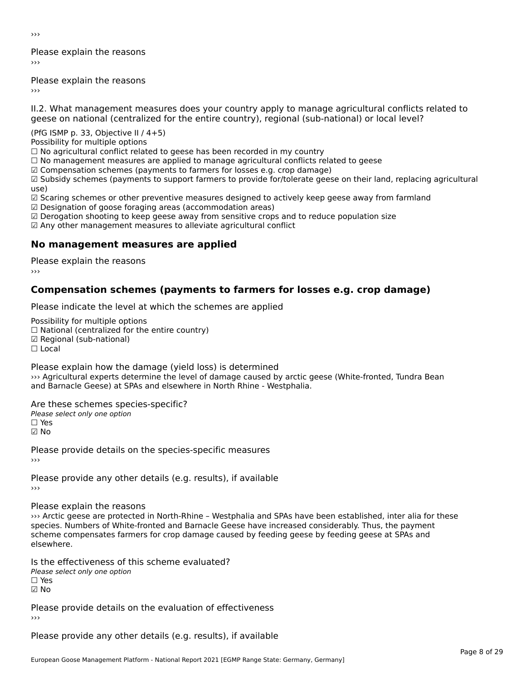›››

Please explain the reasons›››

Please explain the reasons ›››

II.2. What management measures does your country apply to manage agricultural conflicts related to

(PfG ISMP p. 33, Objective II  $/$  4+5)

Possibility for multiple options

rossibility for multiple options<br>□ No agricultural conflict related to geese has been recorded in my country

 $\Box$  No management measures are applied to manage agricultural conflicts related to geese

☑ Compensation schemes (payments to farmers for losses e.g. crop damage)

ය compensation schemes (payments to ramiers for fosses e.g. crop damage)<br>☑ Subsidy schemes (payments to support farmers to provide for/tolerate geese on their land, replacing agricultural use)

use,<br>☑ Scaring schemes or other preventive measures designed to actively keep geese away from farmland ⊠ Scaring scrientes of other preventive measures designed to a<br>☑ Designation of goose foraging areas (accommodation areas)

ය Designation of goose foraging areas (accommodation areas)<br>☑ Derogation shooting to keep geese away from sensitive crops and to reduce population size

⊠ Derogation shooting to keep geese away nom sensitive crops and<br>☑ Any other management measures to alleviate agricultural conflict

### **No management measures are applied**

Please explain the reasons ›››

### **Compensation schemes (payments to farmers for losses e.g. crop damage)**

Please indicate the level at which the schemes are applied

Possibility for multiple options ™assibility for multiple options<br>□ National (centralized for the entire country) □ National (centralized io<br>☑ Regional (sub-national) ⊠ Regio<br>□ Local

Please explain how the damage (yield loss) is determined I case explain now the damage (yield 1033) is determined<br>
Separation are according to a set of damage caused by arctic geese (White-fronted, Tundra Bean and Barnacle Geese) at SPAs and elsewhere in North Rhine - Westphalia.

Are these schemes species-specific?Please select only one option ☐ Yes☑ No

Please provide details on the species-specific measures

Please provide any other details (e.g. results), if available

Please explain the reasons

››› Arctic geese are protected in North-Rhine – Westphalia and SPAs have been established, inter alia for these sys arctic geese are protected in North-Killie – westprialia and SPAS have been established, litter and for<br>species. Numbers of White-fronted and Barnacle Geese have increased considerably. Thus, the payment species. Numbers of Wille-Holled and Barnacle Geese have increased considerably. Thus, the payment<br>scheme compensates farmers for crop damage caused by feeding geese by feeding geese at SPAs and elsewhere.

Is the effectiveness of this scheme evaluated?Please select only one option ☐ Yes☑ No

Please provide details on the evaluation of effectiveness

Please provide any other details (e.g. results), if available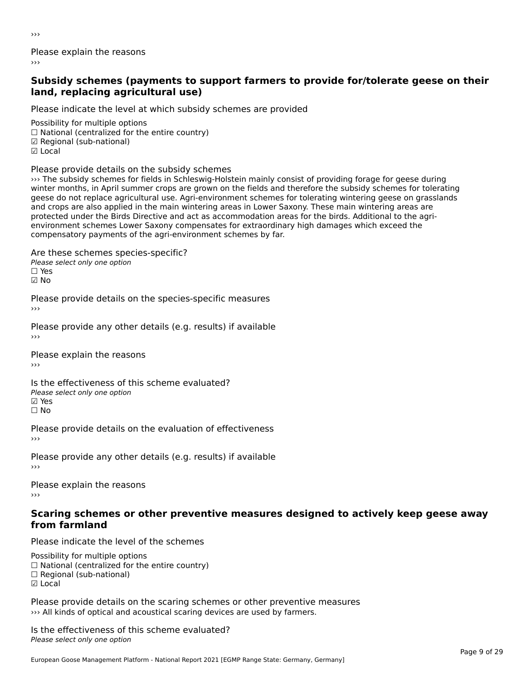›››

Please explain the reasons›››

### **Subsidy schemes (payments to support farmers to provide for/tolerate geese on their land, replacing agricultural use)**land, replacing agricultural use)

Please indicate the level at which subsidy schemes are provided

Possibility for multiple options ™assibility for multiple options<br>□ National (centralized for the entire country) □ National (centralized io<br>☑ Regional (sub-national) ⊡ Regio<br>☑ Local

Please provide details on the subsidy schemes

››› The subsidy schemes for fields in Schleswig-Holstein mainly consist of providing forage for geese during with a subsidy schemes for helds in Schleswig-Holstein manny consist or providing forage for geese during<br>winter months, in April summer crops are grown on the fields and therefore the subsidy schemes for tolerating whiter months, in April summer crops are grown on the nelus and therefore the subsidy schemes for tolerating<br>geese do not replace agricultural use. Agri-environment schemes for tolerating wintering geese on grasslands geese ad not replace agricultural use. Agri-environment schemes for tolerating wintering geese on gras:<br>and crops are also applied in the main wintering areas in Lower Saxony. These main wintering areas are protected under the Birds Directive and act as accommodation areas for the birds. Additional to the agriprocedured under the Birds Birective and act as accommodation areas for the birds. Additional to the a<br>environment schemes Lower Saxony compensates for extraordinary high damages which exceed the compensatory payments of the agri-environment schemes by far.

Are these schemes species-specific?∩ne these senemes spee<br>Please select only one option

☑ No

Please provide details on the species-specific measures

Please provide any other details (e.g. results) if available

Please explain the reasons›››

Is the effectiveness of this scheme evaluated?□ CHECONCHESS OF C<br>Please select only one option ☐ No

Please provide details on the evaluation of effectiveness

Please provide any other details (e.g. results) if available ›››

Please explain the reasons

### **Scaring schemes or other preventive measures designed to actively keep geese away from farmland**

Please indicate the level of the schemes

Possibility for multiple options rossibility for multiple options<br>□ National (centralized for the entire country) ☐ Regional (sub-national) ☑ Local

Please provide details on the scaring schemes or other preventive measures ››› All kinds of optical and acoustical scaring devices are used by farmers.

Is the effectiveness of this scheme evaluated?Please select only one option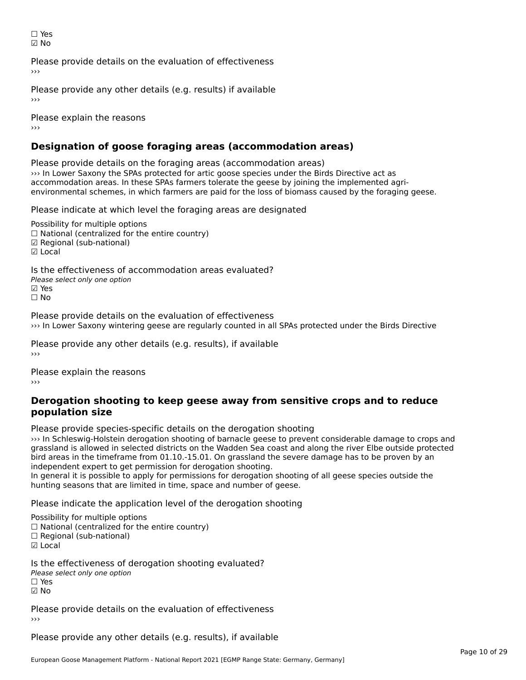☐ Yes☑ No

Please provide details on the evaluation of effectiveness

Please provide any other details (e.g. results) if available

Please explain the reasons›››

# **Designation of goose foraging areas (accommodation areas)**

Please provide details on the foraging areas (accommodation areas) ››› In Lower Saxony the SPAs protected for artic goose species under the Birds Directive act as accommodation areas. In these SPAs farmers tolerate the geese by joining the implemented agrienvironmental schemes, in which farmers are paid for the loss of biomass caused by the foraging geese.

Please indicate at which level the foraging areas are designated

Possibility for multiple options rossibility for multiple options<br>□ National (centralized for the entire country) ☑ Regional (sub-national)⊠ Regio<br>☑ Local

Is the effectiveness of accommodation areas evaluated?Please select only one option ☑ Yes☐ No

Please provide details on the evaluation of effectiveness ››› In Lower Saxony wintering geese are regularly counted in all SPAs protected under the Birds Directive

Please provide any other details (e.g. results), if available

Please explain the reasons

### **Derogation shooting to keep geese away from sensitive crops and to reduce population size**

Please provide species-specific details on the derogation shooting

››› In Schleswig-Holstein derogation shooting of barnacle geese to prevent considerable damage to crops and of the Schleswig-Holstein derogation shooting of barnacle geese to prevent considerable damage to crops and a<br>grassland is allowed in selected districts on the Wadden Sea coast and along the river Elbe outside protected bindependent the university non-other controls on grassiand the severe damage has to be proven by an independent expert to get permission for derogation shooting.

Independent expert to get permission for derogation shooting.<br>In general it is possible to apply for permissions for derogation shooting of all geese species outside the In general it is possible to apply for permissions for derogation shooth<br>hunting seasons that are limited in time, space and number of geese.

Please indicate the application level of the derogation shooting

Possibility for multiple options

rossibility for multiple options<br>□ National (centralized for the entire country)

□ National (centralized io<br>□ Regional (sub-national)

☑ Local

Is the effectiveness of derogation shooting evaluated?

Please select only one option *riease*<br>□ Yes

☑ No

Please provide details on the evaluation of effectiveness

Please provide any other details (e.g. results), if available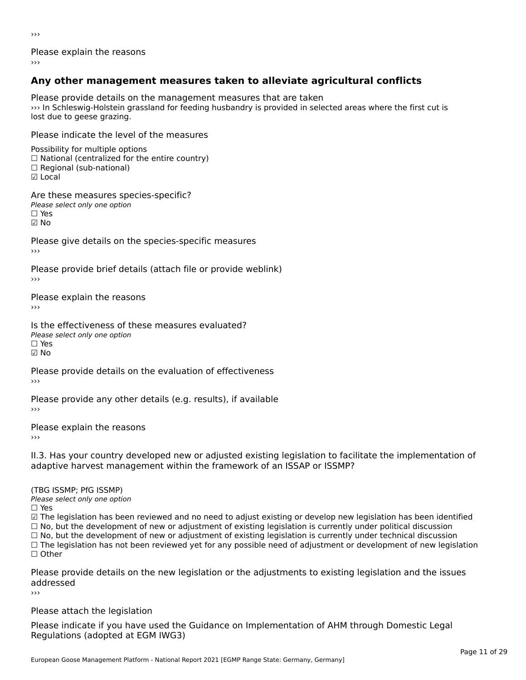›››

Please explain the reasons

# **Any other management measures taken to alleviate agricultural conflicts**

Please provide details on the management measures that are takenI lease provide details on the management measures that are taken. lost due to geese grazing.

Please indicate the level of the measures

Possibility for multiple options  $\Box$  National (centralized for the entire country) □ Regional (sub-national)<br>□ Local

Are these measures species-specific?

∩ne enese measures spe<br>Please select only one option

☑ No

Please give details on the species-specific measures

Please provide brief details (attach file or provide weblink)

Please explain the reasons›››

Is the effectiveness of these measures evaluated?Please select only one option

riease<br>□ Yes

☑ No

Please provide details on the evaluation of effectiveness

Please provide any other details (e.g. results), if available

Please explain the reasons

›››

II.3. Has your country developed new or adjusted existing legislation to facilitate the implementation of adaptive harvest management within the framework of an ISSAP or ISSMP?

(TBG ISSMP; PfG ISSMP) Please select only one option ☐ Yes

☑ The legislation has been reviewed and no need to adjust existing or develop new legislation has been identified ⊠ The regislation has been reviewed and no need to adjust existing or develop new regislation has been ident<br>□ No, but the development of new or adjustment of existing legislation is currently under political discussion □ No, but the development of new or adjustment of existing legislation is currently under political discussion<br>□ No, but the development of new or adjustment of existing legislation is currently under technical discussion □ No, but the development of hew or adjustment of existing regislation is currently under technical discussion<br>□ The legislation has not been reviewed yet for any possible need of adjustment or development of new legislat  $\Box$  Other

Please provide details on the new legislation or the adjustments to existing legislation and the issues addressed

Please attach the legislation

Please indicate if you have used the Guidance on Implementation of AHM through Domestic Legal Piease indicate if you have used the<br>Regulations (adopted at EGM IWG3)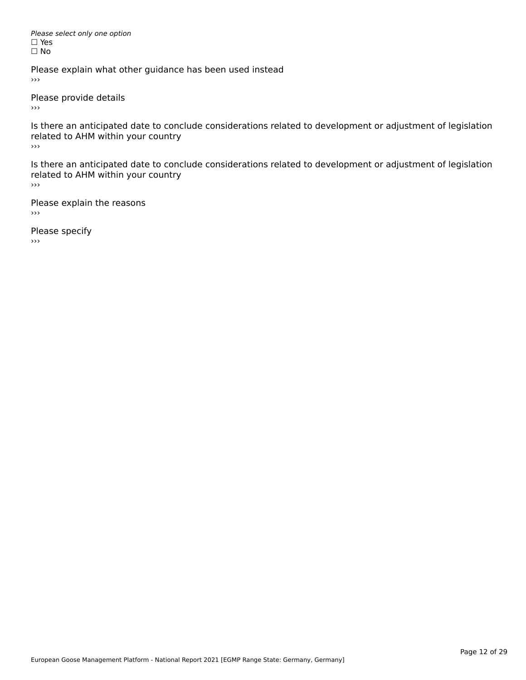Please select only one option *riease*<br>□ Yes ים וכ<br>⊡ No

Please explain what other guidance has been used instead  $\rightarrow$   $>$ 

Please provide details

 $\rightarrow$   $>$ 

Is there an anticipated date to conclude considerations related to development or adjustment of legislation is there an anticipated date to control<br>related to AHM within your country

 $\rightarrow$ 

Is there an anticipated date to conclude considerations related to development or adjustment of legislation related to Arm within your country  $\rightarrow$   $>$ 

Please explain the reasons  $\rightarrow$ 

Please specify  $\rightarrow$   $>$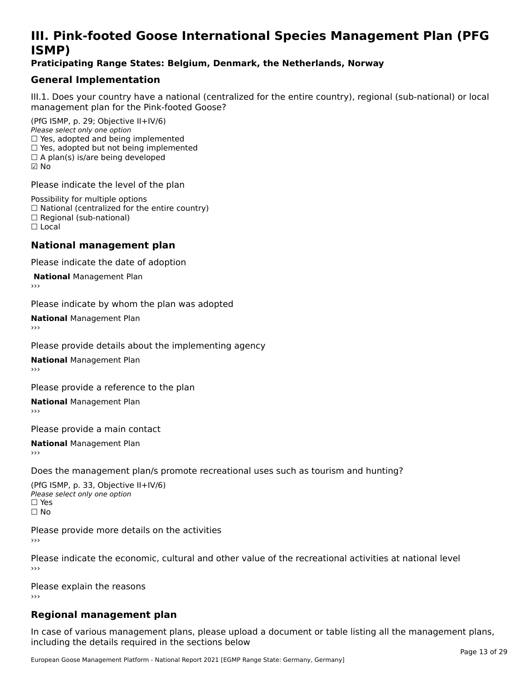# **III. Pink-footed Goose International Species Management Plan (PFG**III. FII<br>ICMAD)

### **Praticipating Range States: Belgium, Denmark, the Netherlands, Norway**

# **General Implementation**

III.1. Does your country have a national (centralized for the entire country), regional (sub-national) or local

(PfG ISMP, p. 29; Objective II+IV/6) Please select only one option *riease select only one option*<br>□ Yes, adopted and being implemented  $\Box$  res, adopted and being implemented<br> $\Box$  Yes, adopted but not being implemented  $\Box$  A plan(s) is/are being developed ☑ No

Please indicate the level of the plan

Possibility for multiple options rossibility for multiple options<br>□ National (centralized for the entire country) □ National (centralized io<br>□ Regional (sub-national) ☐ Local

#### **National management plan**

Please indicate the date of adoption

**National Management Plan** 

Please indicate by whom the plan was adopted

**National** Management Plan

Please provide details about the implementing agency

**National** Management Plan

Please provide a reference to the plan

**National** Management Plan

Please provide a main contact

**National** Management Plan

Does the management plan/s promote recreational uses such as tourism and hunting?

(PfG ISMP, p. 33, Objective II+IV/6) Please select only one optionPlease select only one option  $\square$  Yes ☐ No

Please provide more details on the activities›››

Please indicate the economic, cultural and other value of the recreational activities at national level

Please explain the reasons ›››

# **Regional management plan**

In case of various management plans, please upload a document or table listing all the management plans, $\frac{1}{2}$  case of various management plans, please uploa including the details required in the sections below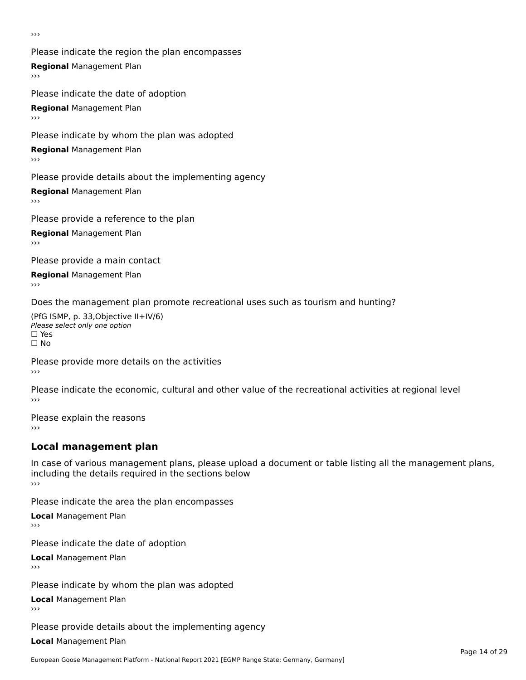›››

Please indicate the region the plan encompasses **Regional** Management Plan Please indicate the date of adoption

**Regional** Management Plan

Please indicate by whom the plan was adopted

**Regional** Management Plan

Please provide details about the implementing agency

**Regional** Management Plan

Please provide a reference to the plan

**Regional** Management Plan

Please provide a main contact

**Regional** Management Plan

Does the management plan promote recreational uses such as tourism and hunting?

(PfG ISMP, p. 33,Objective II+IV/6) ∩∩ וויוכו פון<br>Please select only one option<br>□ Yes □ Yes<br>□ No

Please provide more details on the activities ›››

Please indicate the economic, cultural and other value of the recreational activities at regional level

Please explain the reasons ›››

# **Local management plan**

In case of various management plans, please upload a document or table listing all the management plans, in case or various management plans, please uploa<br>including the details required in the sections below ›››

Please indicate the area the plan encompasses

**Local** Management Plan

Please indicate the date of adoption

**Local** Management Plan›››

Please indicate by whom the plan was adopted

**Local** Management Plan

Please provide details about the implementing agency

**Local** Management Plan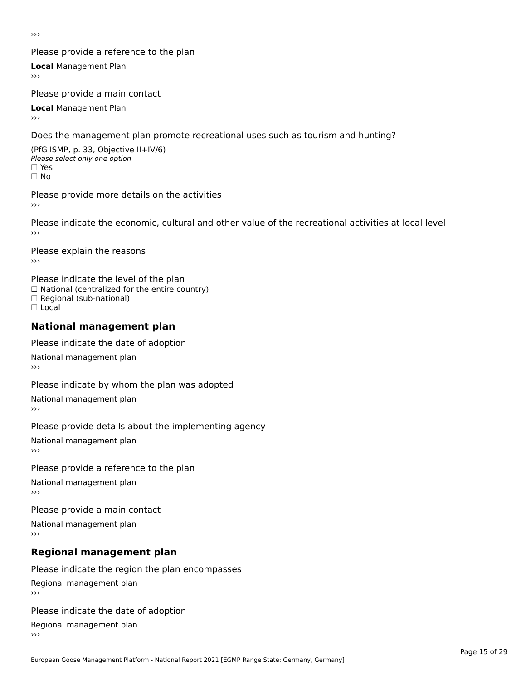›››

### Please provide a reference to the plan

**Local** Management Plan

Please provide a main contact

**Local** Management Plan

Does the management plan promote recreational uses such as tourism and hunting?

(PfG ISMP, p. 33, Objective II+IV/6) Please select only one option☐ Yes☐ No

Please provide more details on the activities

Please indicate the economic, cultural and other value of the recreational activities at local level

Please explain the reasons ›››

Please indicate the level of the plan ∩ease marcate the lever of the plan<br>□ National (centralized for the entire country) □ National (centralized io<br>□ Regional (sub-national) ☐ Local

#### **National management plan**

Please indicate the date of adoption

National management plan

Please indicate by whom the plan was adopted

National management plan

Please provide details about the implementing agency

National management plan

#### Please provide a reference to the plan

National management plan

Please provide a main contact

National management plan

# **Regional management plan**

Please indicate the region the plan encompasses Regional management plan

Please indicate the date of adoption

Regional management plan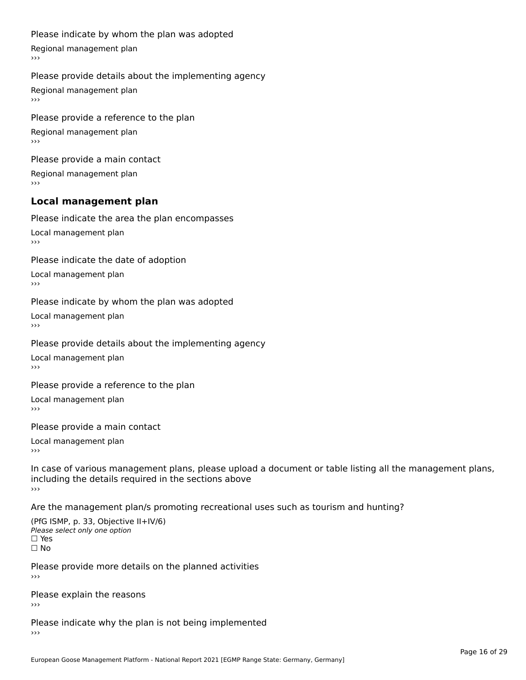#### Please indicate by whom the plan was adopted

Regional management plan

#### Please provide details about the implementing agency

Regional management plan

Please provide a reference to the plan Regional management plan

Please provide a main contact Regional management plan

#### **Local management plan**

Please indicate the area the plan encompasses

Local management plan $\overline{\phantom{a}}$  $\rightarrow$   $>$ 

Please indicate the date of adoption

Local management plan $\overline{v}$ 

Please indicate by whom the plan was adopted Local management plan›››

Please provide details about the implementing agency

Local management plan $\overline{v}$ 

Please provide a reference to the plan

Local management plan›››

Please provide a main contact

Local management plan $\overline{v}$ 

In case of various management plans, please upload a document or table listing all the management plans,in case or various management plans, please upload including the details required in the sections above<br>>>>

Are the management plan/s promoting recreational uses such as tourism and hunting?

(PfG ISMP, p. 33, Objective II+IV/6) Please select only one option☐ Yes☐ No

Please provide more details on the planned activities

Please explain the reasons›››

Please indicate why the plan is not being implemented›››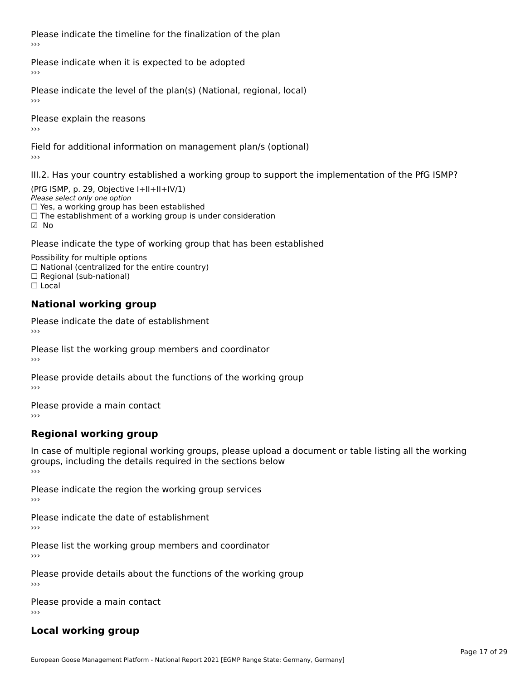Please indicate the timeline for the finalization of the plan›››

Please indicate when it is expected to be adopted

Please indicate the level of the plan(s) (National, regional, local)

Please explain the reasons›››

Field for additional information on management plan/s (optional)

III.2. Has your country established a working group to support the implementation of the PfG ISMP?

(PfG ISMP, p. 29, Objective  $I+II+II+IV/1$ ) Please select only one option □ Yes, a working group has been established □ Tes, a working group has been established<br>□ The establishment of a working group is under consideration

Please indicate the type of working group that has been established

Possibility for multiple options  $\Box$  National (centralized for the entire country)  $\Box$  Regional (sub-national)  $\Box$  Local

#### **National working group**

Please indicate the date of establishment›››

Please list the working group members and coordinator ›››

Please provide details about the functions of the working group ›››

Please provide a main contact ›››

# **Regional working group**

In case of multiple regional working groups, please upload a document or table listing all the working In case of multiple regional working groups, please upload a<br>groups, including the details required in the sections below ›››

Please indicate the region the working group services ›››

Please indicate the date of establishment ›››

Please list the working group members and coordinator ›››

Please provide details about the functions of the working group ›››

Please provide a main contact ›››

# **Local working group**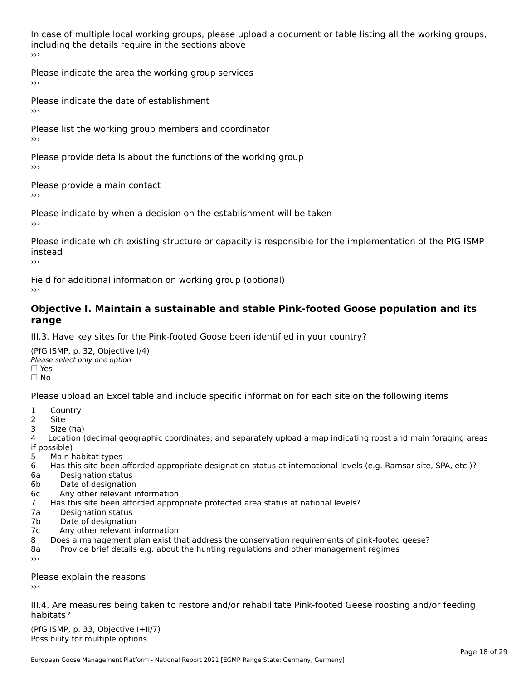In case of multiple local working groups, please upload a document or table listing all the working groups, including the details require in the sections above<br>>>>

Please indicate the area the working group services ›››

Please indicate the date of establishment ›››

Please list the working group members and coordinator ›››

Please provide details about the functions of the working group ›››

Please provide a main contact ›››

Please indicate by when a decision on the establishment will be taken

Please indicate which existing structure or capacity is responsible for the implementation of the PfG ISMP instead

Field for additional information on working group (optional)

### **Objective I. Maintain a sustainable and stable Pink-footed Goose population and its range**range

III.3. Have key sites for the Pink-footed Goose been identified in your country?

(PfG ISMP, p. 32, Objective I/4)Please select only one option ☐ Yes□ Yes<br>□ No

Please upload an Excel table and include specific information for each site on the following items

- $1 \quad \alpha$
- 2 Site
- 2 Site<br>3 Size (ha)

د حدد una<br>4 Location (decimal geographic coordinates; and separately upload a map indicating roost and main foraging areas 4 Location<br>if possible)

- 5 Main habitat types
- 6 Has this site been afforded appropriate designation status at international levels (e.g. Ramsar site, SPA, etc.)? 6. Bestweetter status
- 6a Designation status<br>6b Date of designation
- 
- 6c Any other relevant information
- 7 Has this site been afforded appropriate protected area status at national levels? 7a Designation status
- 7a Designation status<br>7b Date of designation
- 
- 7c Any other relevant information
- 8 Does a management plan exist that address the conservation requirements of pink-footed geese?
- 8a Provide brief details e.g. about the hunting regulations and other management regimes ›››

Please explain the reasons

III.4. Are measures being taken to restore and/or rehabilitate Pink-footed Geese roosting and/or feeding habitats?

 $(PCI GMP, p. 33, Qb)$  is the I+II/7) Possibility for multiple optionsPossibility for multiple options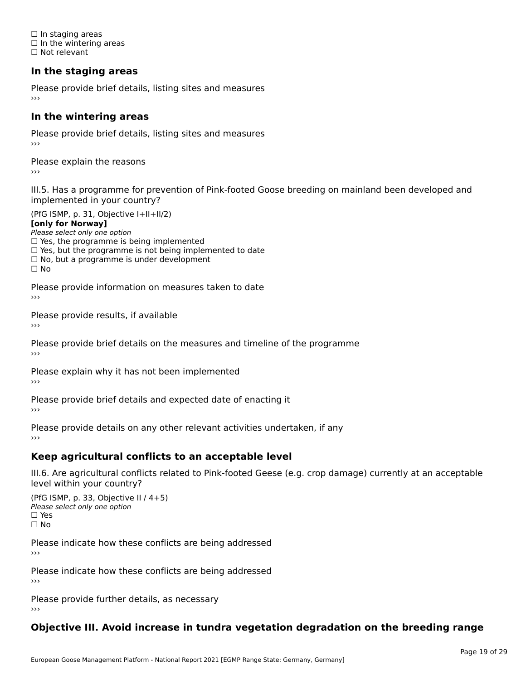☐ In staging areas □ in staging areas<br>□ In the wintering areas ☐ Not relevant

# **In the staging areas**

Please provide brief details, listing sites and measures ›››

#### **In the wintering areas**

Please provide brief details, listing sites and measures ›››

Please explain the reasons

III.5. Has a programme for prevention of Pink-footed Goose breeding on mainland been developed and

(PfG ISMP, p. 31, Objective I+II+II/2)

**[only for Norway]**

Please select only one option riease select only one option<br>□ Yes, the programme is being implemented

 $\Box$  ies, the programme is being implemented to date  $\Box$  Yes, but the programme is not being implemented to date

 $\Box$  No, but a programme is under development

Please provide information on measures taken to date

Please provide results, if available

Please provide brief details on the measures and timeline of the programme›››

Please explain why it has not been implemented

Please provide brief details and expected date of enacting it

Please provide details on any other relevant activities undertaken, if any›››

### **Keep agricultural conflicts to an acceptable level**

III.6. Are agricultural conflicts related to Pink-footed Geese (e.g. crop damage) currently at an acceptable

(PfG ISMP, p. 33, Objective II / 4+5)Please select only one option ☐ Yes☐ No

Please indicate how these conflicts are being addressed

Please indicate how these conflicts are being addressed›››

Please provide further details, as necessary ›››

#### **Objective III. Avoid increase in tundra vegetation degradation on the breeding range**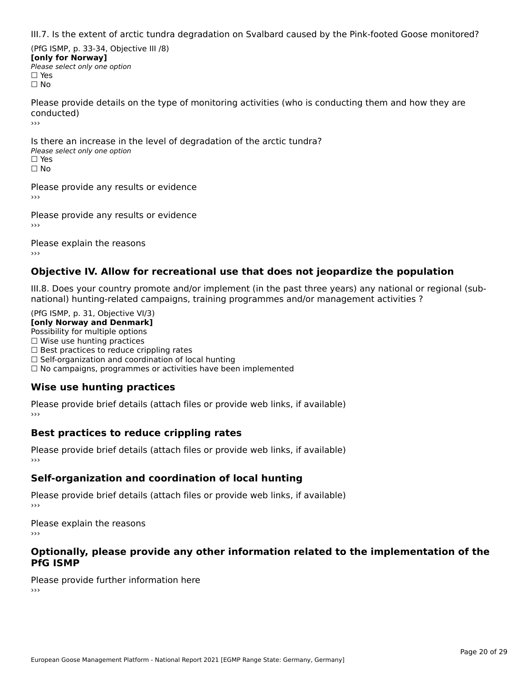III.7. Is the extent of arctic tundra degradation on Svalbard caused by the Pink-footed Goose monitored?

(PfG ISMP, p. 33-34, Objective III /8) **[only for Norway] Please select only one option** □ Yes<br>□ No

Please provide details on the type of monitoring activities (who is conducting them and how they are conducted)›››

Is there an increase in the level of degradation of the arctic tundra? □ CitCre dir increduce in c<br>Please select only one option □ Yes<br>□ No

Please provide any results or evidence

Please provide any results or evidence

Please explain the reasons›››

### **Objective IV. Allow for recreational use that does not jeopardize the population**

III.8. Does your country promote and/or implement (in the past three years) any national or regional (sub $m.0.168$  your country promove and/or miplement (in the past time years) any national or national) hunting-related campaigns, training programmes and/or management activities ?

(PfG ISMP, p. 31, Objective VI/3) **[only Norway and Denmark]** Possibility for multiple options ☐ Wise use hunting practices  $\Box$  wise use numing practices<br> $\Box$  Best practices to reduce crippling rates □ Best practices to reduce crippinig rates<br>□ Self-organization and coordination of local hunting □ Sen-organization and coordination or local nunting<br>□ No campaigns, programmes or activities have been implemented

# **Wise use hunting practices**

Please provide brief details (attach files or provide web links, if available) ›››

### **Best practices to reduce crippling rates**

Please provide brief details (attach files or provide web links, if available)

# **Self-organization and coordination of local hunting**

Please provide brief details (attach files or provide web links, if available)

Please explain the reasons›››

### **Optionally, please provide any other information related to the implementation of the PfG ISMP**

Please provide further information here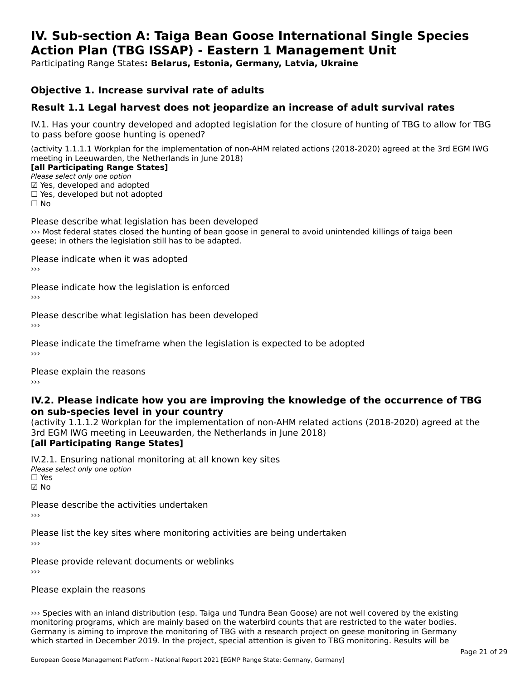#### **IV. Sub-section A: Taiga Bean Goose International Single Species Action Plan (TBG ISSAP) - Eastern 1 Management UnitAction Plan (TBG ISSAP) - Eastern 1 Management Unit**

Participating Range States**: Belarus, Estonia, Germany, Latvia, Ukraine** 

### **Objective 1. Increase survival rate of adults**

### **Result 1.1 Legal harvest does not jeopardize an increase of adult survival rates**

IV.1. Has your country developed and adopted legislation for the closure of hunting of TBG to allow for TBG IV.1. Thas your country developed and add<br>to pass before goose hunting is opened?

(activity 1.1.1.1 Workplan for the implementation of non-AHM related actions (2018-2020) agreed at the 3rd EGM IWG meeting in Leeuwarden, the Netherlands in June 2018) **[all Participating Range States]**

#### [all Participating Range States]

Please select only one option ☑ Yes, developed and adopted $\boxtimes$  Yes, developed and adopted

□ Tes, developed and adopted<br>□ Yes, developed but not adopted

Please describe what legislation has been developed ››› Most federal states closed the hunting of bean goose in general to avoid unintended killings of taiga been which redefiar states closed the hunting of beam goos.<br>geese; in others the legislation still has to be adapted.

Please indicate when it was adopted

Please indicate how the legislation is enforced

Please describe what legislation has been developed

Please indicate the timeframe when the legislation is expected to be adopted

Please explain the reasons

### **IV.2. Please indicate how you are improving the knowledge of the occurrence of TBG on sub-species level in your country**on sub-species level in your country

(activity 1.1.1.2 Workplan for the implementation of non-AHM related actions (2018-2020) agreed at the 3rd EGM IWG meeting in Leeuwarden, the Netherlands in June 2018) **[all Participating Range States]**

IV.2.1. Ensuring national monitoring at all known key sites <del>■ Western Chroning</del> Hational<br>Please select only one option ☑ No

Please describe the activities undertaken›››

Please list the key sites where monitoring activities are being undertaken

Please provide relevant documents or weblinks

### Please explain the reasons

››› Species with an inland distribution (esp. Taiga und Tundra Bean Goose) are not well covered by the existing we species with an initial distribution (esp. Taiga dhu Tunura Bean Goose) are not well covered by the existing<br>monitoring programs, which are mainly based on the waterbird counts that are restricted to the water bodies. Germany is aiming to improve the monitoring of TBG with a research project on geese monitoring in Germany<br>Germany is aiming to improve the monitoring of TBG with a research project on geese monitoring in Germany which started in December 2019. In the project, special attention is given to TBG monitoring. Results will be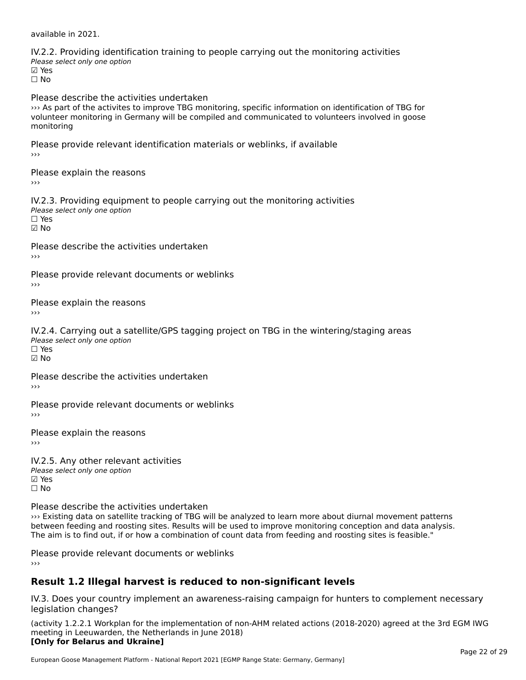available in 2021.

IV.2.2. Providing identification training to people carrying out the monitoring activities wellen i Foviallig Tachtin<br>Please select only one option **☑ Yes**<br>Π No Please describe the activities undertaken››› As part of the activites to improve TBG monitoring, specific information on identification of TBG for volunteer monitoring in Germany will be compiled and communicated to volunteers involved in goose monitoringmonitoring Please provide relevant identification materials or weblinks, if available ›››Please explain the reasons›››IV.2.3. Providing equipment to people carrying out the monitoring activities Please select only one option ☐ Yes☑ No Please describe the activities undertaken ›››Please provide relevant documents or weblinks Please explain the reasons IV.2.4. Carrying out a satellite/GPS tagging project on TBG in the wintering/staging areas The carrying bat a be<br>Please select only one option ☑ NoPlease describe the activities undertaken›››Please provide relevant documents or weblinks ›››Please explain the reasons IV.2.5. Any other relevant activities wellow with the values of the values of the values of the values of the values of the values of the values of the values of the values of the values of the values of the values of the values of the values of the values of **☑ Yes**<br>□ No Please describe the activities undertaken ››› Existing data on satellite tracking of TBG will be analyzed to learn more about diurnal movement patterns between feeding and roosting sites. Results will be used to improve monitoring conception and data analysis. The aim is to find out, if or how a combination of count data from feeding and roosting sites is feasible."

Please provide relevant documents or weblinks

### **Result 1.2 Illegal harvest is reduced to non-significant levels**

IV.3. Does your country implement an awareness-raising campaign for hunters to complement necessary legislation changes?

(activity 1.2.2.1 Workplan for the implementation of non-AHM related actions (2018-2020) agreed at the 3rd EGM IWG meeting in Leeuwarden, the Netherlands in June 2018) **[Only for Belarus and Ukraine]**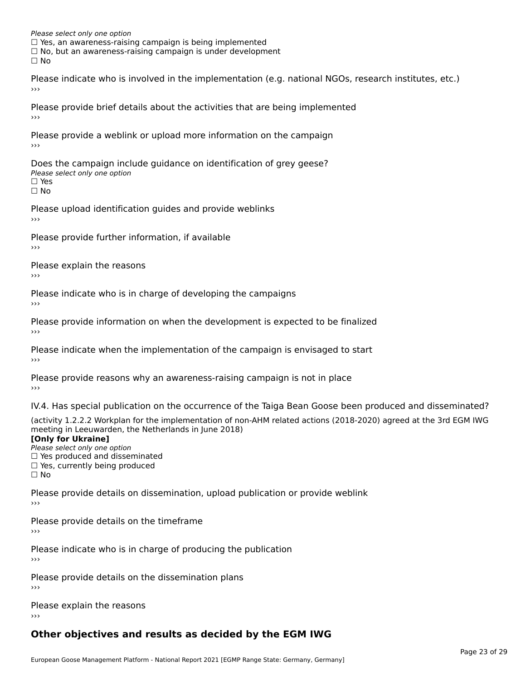Please select only one option  $\Box$  Yes, an awareness-raising campaign is being implemented  $\Box$  Yes, an awareness-raising campaign is being implemented □ No, but an awareness-raising campaign is under development<br>□ No  $\Box$  No

Please indicate who is involved in the implementation (e.g. national NGOs, research institutes, etc.)

Please provide brief details about the activities that are being implemented

Please provide a weblink or upload more information on the campaign›››

Does the campaign include guidance on identification of grey geese? Please select only one option ☐ Yes

☐ No

Please upload identification guides and provide weblinks

Please provide further information, if available

Please explain the reasons›››

Please indicate who is in charge of developing the campaigns

Please provide information on when the development is expected to be finalized›››

Please indicate when the implementation of the campaign is envisaged to start

Please provide reasons why an awareness-raising campaign is not in place

IV.4. Has special publication on the occurrence of the Taiga Bean Goose been produced and disseminated?

(activity 1.2.2.2 Workplan for the implementation of non-AHM related actions (2018-2020) agreed at the 3rd EGM IWG

### **[Only for Ukraine]**

**Please select only one option** *Please select only one option*<br>□ Yes produced and disseminated  $\Box$  ies produced and disseminate<br> $\Box$  Yes, currently being produced ים וכ∍<br>⊡ No

Please provide details on dissemination, upload publication or provide weblink

Please provide details on the timeframe›››

Please indicate who is in charge of producing the publication

Please provide details on the dissemination plans›››

Please explain the reasons›››

# **Other objectives and results as decided by the EGM IWG**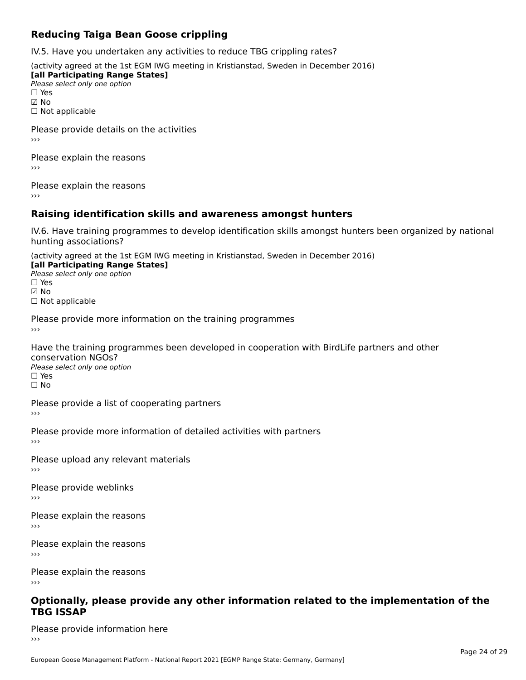## **Reducing Taiga Bean Goose crippling**

IV.5. Have you undertaken any activities to reduce TBG crippling rates?

(activity agreed at the 1st EGM IWG meeting in Kristianstad, Sweden in December 2016)

**[all Participating Range States] Lan T articipating Range**<br>Please select only one option ☑ No

☐ Not applicable

Please provide details on the activities›››

Please explain the reasons›››

Please explain the reasons›››

# **Raising identification skills and awareness amongst hunters**

IV.6. Have training programmes to develop identification skills amongst hunters been organized by national hunting associations?

(activity agreed at the 1st EGM IWG meeting in Kristianstad, Sweden in December 2016) **[all Participating Range States]**

- [all Participating Range States] **Law Tarticipating Range**<br>Please select only one option
- ☑ No

☐ Not applicable

Please provide more information on the training programmes

Have the training programmes been developed in cooperation with BirdLife partners and other conservation NGOs? Please select only one optionriease<br>□ Yes □ Yes<br>□ No

Please provide a list of cooperating partners

Please provide more information of detailed activities with partners

Please upload any relevant materials

Please provide weblinks ›››

Please explain the reasons›››

Please explain the reasons

Please explain the reasons

# **Optionally, please provide any other information related to the implementation of the TBG ISSAP**

Please provide information here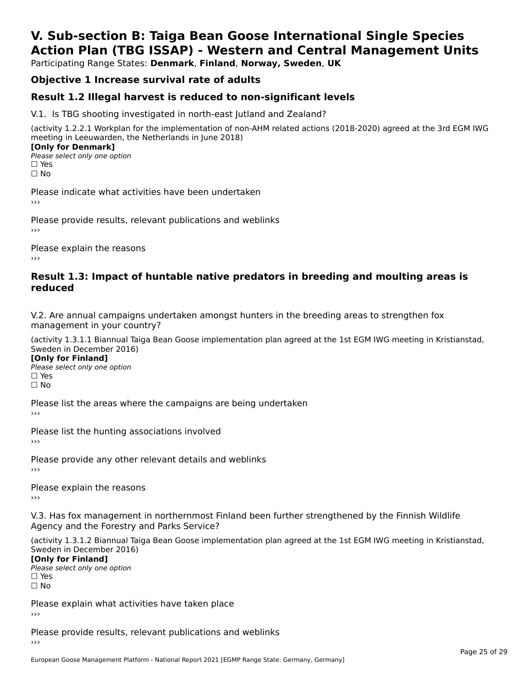# **V. Sub-section B: Taiga Bean Goose International Single SpeciesAction Plan (TBG ISSAP) - Western and Central Management Units**

Participating Range States: **Denmark**, **Finland**, **Norway, Sweden**, **UK**

# **Objective 1 Increase survival rate of adults**

### **Result 1.2 Illegal harvest is reduced to non-significant levels**

V.1. Is TBG shooting investigated in north-east Jutland and Zealand?

(activity 1.2.2.1 Workplan for the implementation of non-AHM related actions (2018-2020) agreed at the 3rd EGM IWG meeting in Leeuwarden, the Netherlands in June 2018) **[Only for Denmark]** 

**□ Please select only one option** □ Yes<br>□ No

Please indicate what activities have been undertaken›››

Please provide results, relevant publications and weblinks ›››

Please explain the reasons›››

### **Result 1.3: Impact of huntable native predators in breeding and moulting areas is reduced**

V.2. Are annual campaigns undertaken amongst hunters in the breeding areas to strengthen fox v.z. Are annual campaigns und<br>management in your country?

(activity 1.3.1.1 Biannual Taiga Bean Goose implementation plan agreed at the 1st EGM IWG meeting in Kristianstad, Sweden in December 2016)

**[Only for Finland]** Please select only one optionriease<br>□ Yes □ Yes<br>□ No

Please list the areas where the campaigns are being undertaken

Please list the hunting associations involved

Please provide any other relevant details and weblinks ›››

Please explain the reasons

V.3. Has fox management in northernmost Finland been further strengthened by the Finnish Wildlife v.5. Has fox management in northernmost F<br>Agency and the Forestry and Parks Service?

(activity 1.3.1.2 Biannual Taiga Bean Goose implementation plan agreed at the 1st EGM IWG meeting in Kristianstad, Sweden in December 2016) Sweden in December 2016)

[Only for Finland]

**Please select only one option** □ Yes<br>□ No

Please explain what activities have taken place

Please provide results, relevant publications and weblinks ›››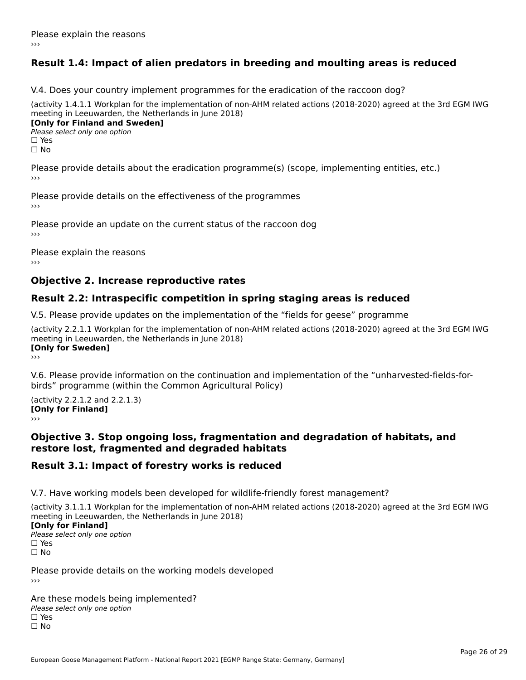# **Result 1.4: Impact of alien predators in breeding and moulting areas is reduced**

V.4. Does your country implement programmes for the eradication of the raccoon dog?

(activity 1.4.1.1 Workplan for the implementation of non-AHM related actions (2018-2020) agreed at the 3rd EGM IWG meeting in Leeuwarden, the Netherlands in June 2018) **[Only for Finland and Sweden]**

**Please select only one option** 

□ Yes<br>□ No

Please provide details about the eradication programme(s) (scope, implementing entities, etc.)

Please provide details on the effectiveness of the programmes

Please provide an update on the current status of the raccoon dog

Please explain the reasons

### **Objective 2. Increase reproductive rates**

### **Result 2.2: Intraspecific competition in spring staging areas is reduced**

V.5. Please provide updates on the implementation of the "fields for geese" programme

(activity 2.2.1.1 Workplan for the implementation of non-AHM related actions (2018-2020) agreed at the 3rd EGM IWG meeting in Leeuwarden, the Netherlands in June 2018) <u>Iony</u> ioi swedenj

V.6. Please provide information on the continuation and implementation of the "unharvested-fields-forbirds" programme (within the Common Agricultural Policy)birds" programme (within the Common Agricultural Policy)

(activity 2.2.1.2 and 2.2.1.3) **CONDUCTS**<br> **[Only for Finland]** 

### **Objective 3. Stop ongoing loss, fragmentation and degradation of habitats, and restore lost, fragmented and degraded habitats**

### **Result 3.1: Impact of forestry works is reduced**

V.7. Have working models been developed for wildlife-friendly forest management?

(activity 3.1.1.1 Workplan for the implementation of non-AHM related actions (2018-2020) agreed at the 3rd EGM IWG

### **[Only for Finland]**

**Please select only one option** □ Yes<br>□ No

Please provide details on the working models developed›››

Are these models being implemented? ∩ne enese moders being<br>Please select only one option □ Yes<br>□ No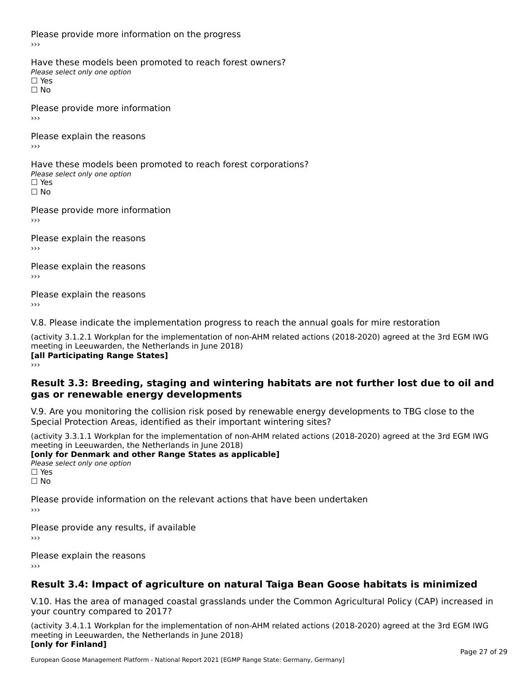Please provide more information on the progress

Have these models been promoted to reach forest owners? ∩ave these models bee<br>Please select only one option □ Yes<br>□ No

Please provide more information›››

Please explain the reasons ›››

Have these models been promoted to reach forest corporations? ∩ave these models bee<br>Please select only one option □ Yes<br>□ No

Please provide more information›››

Please explain the reasons ›››

Please explain the reasons›››

Please explain the reasons›››

V.8. Please indicate the implementation progress to reach the annual goals for mire restoration

(activity 3.1.2.1 Workplan for the implementation of non-AHM related actions (2018-2020) agreed at the 3rd EGM IWG meeting in Leeuwarden, the Netherlands in June 2018) **[all Participating Range States]** ›››

**Result 3.3: Breeding, staging and wintering habitats are not further lost due to oil andgas or renewable energy developments**

#### gas or renewable energy developments

V.9. Are you monitoring the collision risk posed by renewable energy developments to TBG close to the Special Protection Areas, identified as their important wintering sites?

(activity 3.3.1.1 Workplan for the implementation of non-AHM related actions (2018-2020) agreed at the 3rd EGM IWG **[only for Denmark and other Range States as applicable]**

**Please select only one option** □ Yes<br>□ No

Please provide information on the relevant actions that have been undertaken ›››

Please provide any results, if available

Please explain the reasons

# **Result 3.4: Impact of agriculture on natural Taiga Bean Goose habitats is minimized**

V.10. Has the area of managed coastal grasslands under the Common Agricultural Policy (CAP) increased in

(activity 3.4.1.1 Workplan for the implementation of non-AHM related actions (2018-2020) agreed at the 3rd EGM IWG meeting in Leeuwarden, the Netherlands in June 2018) **[only for Finland]**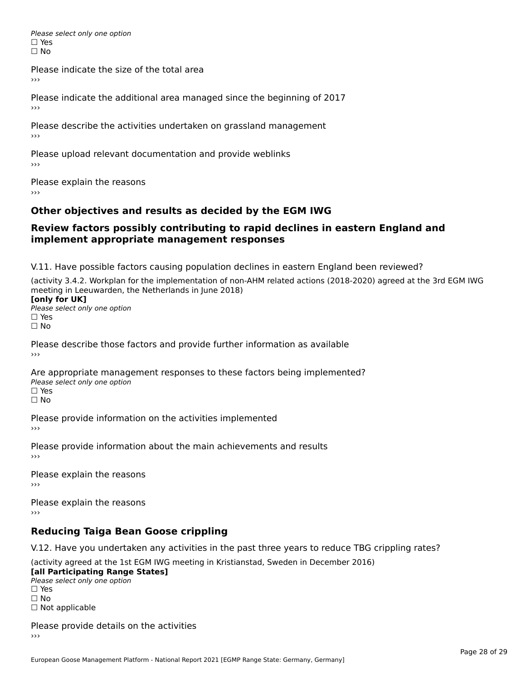Please select only one option □ Yes<br>□ No

Please indicate the size of the total area

›››

Please indicate the additional area managed since the beginning of 2017

Please describe the activities undertaken on grassland management ›››

Please upload relevant documentation and provide weblinks

Please explain the reasons

# **Other objectives and results as decided by the EGM IWG**

#### **Review factors possibly contributing to rapid declines in eastern England andimplement appropriate management responses**implement appropriate management responses

V.11. Have possible factors causing population declines in eastern England been reviewed?

(activity 3.4.2. Workplan for the implementation of non-AHM related actions (2018-2020) agreed at the 3rd EGM IWGmeeting in Leeuwarden, the Netherlands in June 2018) meeting in Leeuwarden, the Netherlands in June 2018)<br>**[only for UK]** 

**∐omy for OR**<br>Please select only one option □ Yes<br>□ No

Please describe those factors and provide further information as available

Are appropriate management responses to these factors being implemented? Please select only one option ים<br>⊡ No

Please provide information on the activities implemented ›››

Please provide information about the main achievements and results›››

Please explain the reasons›››

Please explain the reasons ›››

# **Reducing Taiga Bean Goose crippling**

V.12. Have you undertaken any activities in the past three years to reduce TBG crippling rates?

(activity agreed at the 1st EGM IWG meeting in Kristianstad, Sweden in December 2016) **[all Participating Range States]**

[all Participating Range States] Please select only one option☐ Yesים<br>⊡ No □ Not applicable

Please provide details on the activities››› $\rightarrow$   $>$